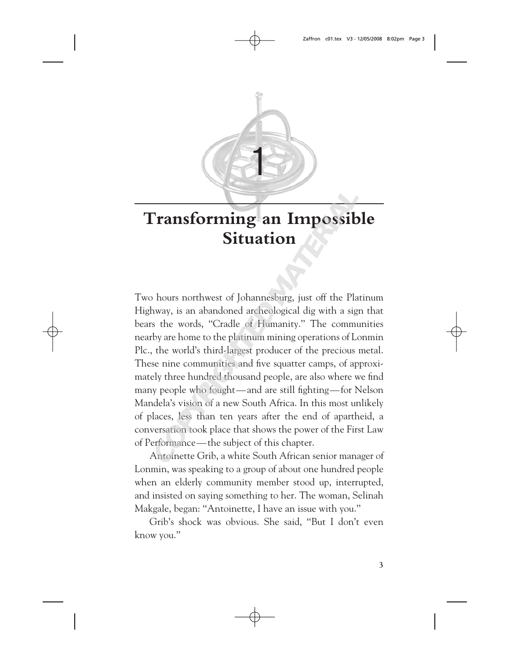

# **Transforming an Impossible Situation**

Two hours northwest of Johannesburg, just off the Platinum Highway, is an abandoned archeological dig with a sign that bears the words, ''Cradle of Humanity.'' The communities nearby are home to the platinum mining operations of Lonmin Plc., the world's third-largest producer of the precious metal. These nine communities and five squatter camps, of approximately three hundred thousand people, are also where we find many people who fought—and are still fighting—for Nelson Mandela's vision of a new South Africa. In this most unlikely of places, less than ten years after the end of apartheid, a conversation took place that shows the power of the First Law of Performance—the subject of this chapter. **Cransforming an Impossib**<br> **Cituation**<br>
Do hours northwest of Johannesburg, just off the Plat<br>
hway, is an abandoned archeological dig with a sign<br>
signs the words, "Cradle of Humanity." The community<br>
thy are home to the

Antoinette Grib, a white South African senior manager of Lonmin, was speaking to a group of about one hundred people when an elderly community member stood up, interrupted, and insisted on saying something to her. The woman, Selinah Makgale, began: ''Antoinette, I have an issue with you.''

Grib's shock was obvious. She said, ''But I don't even know you.''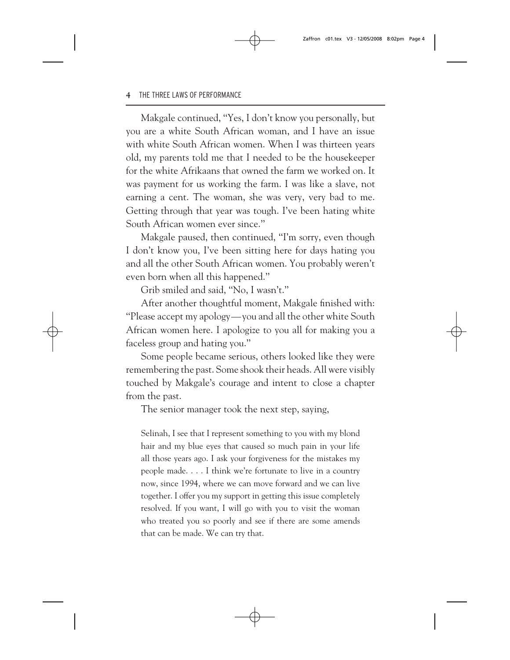Makgale continued, ''Yes, I don't know you personally, but you are a white South African woman, and I have an issue with white South African women. When I was thirteen years old, my parents told me that I needed to be the housekeeper for the white Afrikaans that owned the farm we worked on. It was payment for us working the farm. I was like a slave, not earning a cent. The woman, she was very, very bad to me. Getting through that year was tough. I've been hating white South African women ever since.''

Makgale paused, then continued, ''I'm sorry, even though I don't know you, I've been sitting here for days hating you and all the other South African women. You probably weren't even born when all this happened.''

Grib smiled and said, ''No, I wasn't.''

After another thoughtful moment, Makgale finished with: ''Please accept my apology—you and all the other white South African women here. I apologize to you all for making you a faceless group and hating you.''

Some people became serious, others looked like they were remembering the past. Some shook their heads. All were visibly touched by Makgale's courage and intent to close a chapter from the past.

The senior manager took the next step, saying,

Selinah, I see that I represent something to you with my blond hair and my blue eyes that caused so much pain in your life all those years ago. I ask your forgiveness for the mistakes my people made. . . . I think we're fortunate to live in a country now, since 1994, where we can move forward and we can live together. I offer you my support in getting this issue completely resolved. If you want, I will go with you to visit the woman who treated you so poorly and see if there are some amends that can be made. We can try that.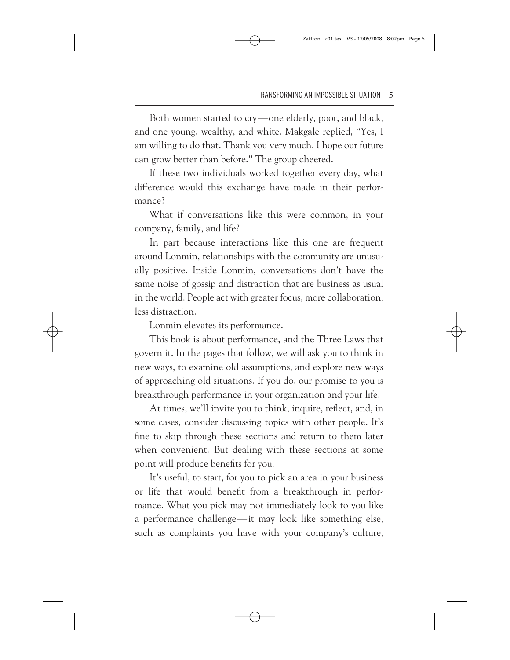Both women started to cry—one elderly, poor, and black, and one young, wealthy, and white. Makgale replied, ''Yes, I am willing to do that. Thank you very much. I hope our future can grow better than before.'' The group cheered.

If these two individuals worked together every day, what difference would this exchange have made in their performance?

What if conversations like this were common, in your company, family, and life?

In part because interactions like this one are frequent around Lonmin, relationships with the community are unusually positive. Inside Lonmin, conversations don't have the same noise of gossip and distraction that are business as usual in the world. People act with greater focus, more collaboration, less distraction.

Lonmin elevates its performance.

This book is about performance, and the Three Laws that govern it. In the pages that follow, we will ask you to think in new ways, to examine old assumptions, and explore new ways of approaching old situations. If you do, our promise to you is breakthrough performance in your organization and your life.

At times, we'll invite you to think, inquire, reflect, and, in some cases, consider discussing topics with other people. It's fine to skip through these sections and return to them later when convenient. But dealing with these sections at some point will produce benefits for you.

It's useful, to start, for you to pick an area in your business or life that would benefit from a breakthrough in performance. What you pick may not immediately look to you like a performance challenge—it may look like something else, such as complaints you have with your company's culture,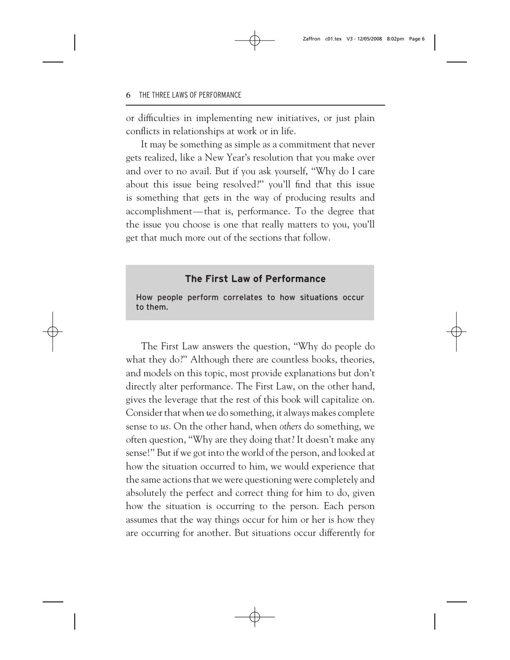or difficulties in implementing new initiatives, or just plain conflicts in relationships at work or in life.

It may be something as simple as a commitment that never gets realized, like a New Year's resolution that you make over and over to no avail. But if you ask yourself, ''Why do I care about this issue being resolved?'' you'll find that this issue is something that gets in the way of producing results and accomplishment—that is, performance. To the degree that the issue you choose is one that really matters to you, you'll get that much more out of the sections that follow.

## **The First Law of Performance**

How people perform correlates to how situations occur to them.

The First Law answers the question, ''Why do people do what they do?" Although there are countless books, theories, and models on this topic, most provide explanations but don't directly alter performance. The First Law, on the other hand, gives the leverage that the rest of this book will capitalize on. Consider that when *we* do something, it always makes complete sense to *us*. On the other hand, when *others* do something, we often question, ''Why are they doing that? It doesn't make any sense!'' But if we got into the world of the person, and looked at how the situation occurred to him, we would experience that the same actions that we were questioning were completely and absolutely the perfect and correct thing for him to do, given how the situation is occurring to the person. Each person assumes that the way things occur for him or her is how they are occurring for another. But situations occur differently for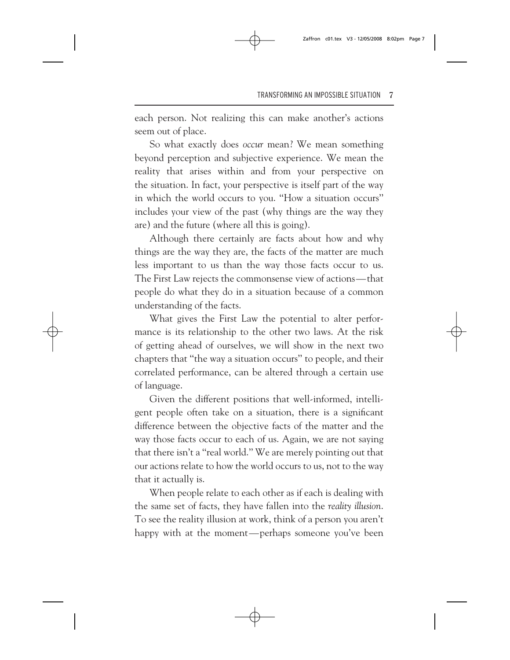each person. Not realizing this can make another's actions seem out of place.

So what exactly does *occur* mean? We mean something beyond perception and subjective experience. We mean the reality that arises within and from your perspective on the situation. In fact, your perspective is itself part of the way in which the world occurs to you. ''How a situation occurs'' includes your view of the past (why things are the way they are) and the future (where all this is going).

Although there certainly are facts about how and why things are the way they are, the facts of the matter are much less important to us than the way those facts occur to us. The First Law rejects the commonsense view of actions—that people do what they do in a situation because of a common understanding of the facts.

What gives the First Law the potential to alter performance is its relationship to the other two laws. At the risk of getting ahead of ourselves, we will show in the next two chapters that ''the way a situation occurs'' to people, and their correlated performance, can be altered through a certain use of language.

Given the different positions that well-informed, intelligent people often take on a situation, there is a significant difference between the objective facts of the matter and the way those facts occur to each of us. Again, we are not saying that there isn't a ''real world.'' We are merely pointing out that our actions relate to how the world occurs to us, not to the way that it actually is.

When people relate to each other as if each is dealing with the same set of facts, they have fallen into the *reality illusion*. To see the reality illusion at work, think of a person you aren't happy with at the moment—perhaps someone you've been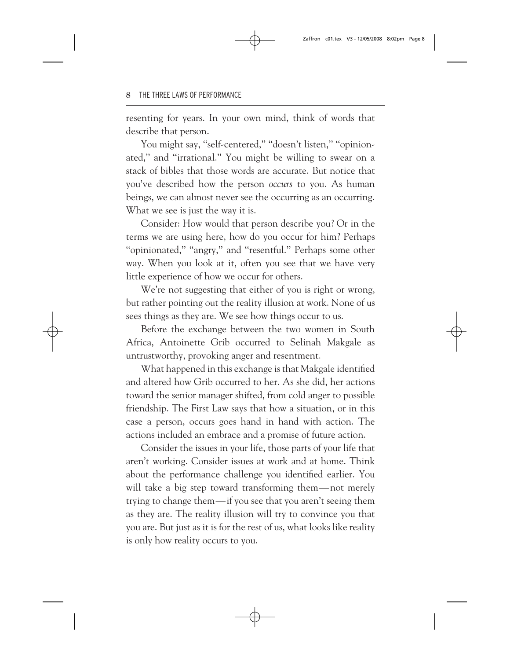resenting for years. In your own mind, think of words that describe that person.

You might say, "self-centered," "doesn't listen," "opinionated,'' and ''irrational.'' You might be willing to swear on a stack of bibles that those words are accurate. But notice that you've described how the person *occurs* to you. As human beings, we can almost never see the occurring as an occurring. What we see is just the way it is.

Consider: How would that person describe you? Or in the terms we are using here, how do you occur for him? Perhaps ''opinionated,'' ''angry,'' and ''resentful.'' Perhaps some other way. When you look at it, often you see that we have very little experience of how we occur for others.

We're not suggesting that either of you is right or wrong, but rather pointing out the reality illusion at work. None of us sees things as they are. We see how things occur to us.

Before the exchange between the two women in South Africa, Antoinette Grib occurred to Selinah Makgale as untrustworthy, provoking anger and resentment.

What happened in this exchange is that Makgale identified and altered how Grib occurred to her. As she did, her actions toward the senior manager shifted, from cold anger to possible friendship. The First Law says that how a situation, or in this case a person, occurs goes hand in hand with action. The actions included an embrace and a promise of future action.

Consider the issues in your life, those parts of your life that aren't working. Consider issues at work and at home. Think about the performance challenge you identified earlier. You will take a big step toward transforming them—not merely trying to change them—if you see that you aren't seeing them as they are. The reality illusion will try to convince you that you are. But just as it is for the rest of us, what looks like reality is only how reality occurs to you.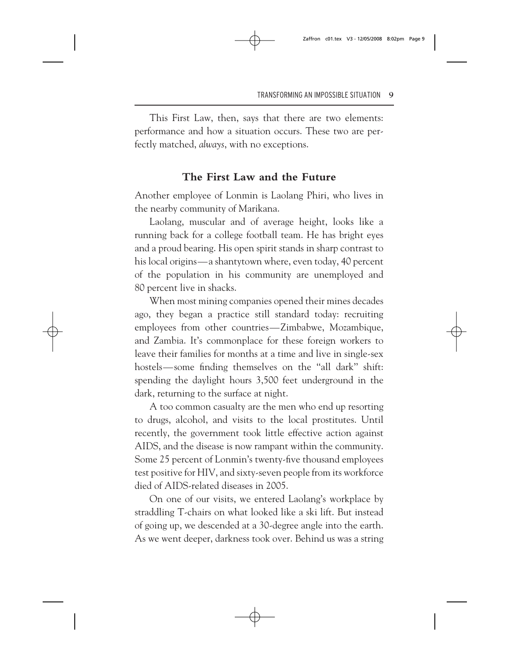This First Law, then, says that there are two elements: performance and how a situation occurs. These two are perfectly matched, *always*, with no exceptions.

# **The First Law and the Future**

Another employee of Lonmin is Laolang Phiri, who lives in the nearby community of Marikana.

Laolang, muscular and of average height, looks like a running back for a college football team. He has bright eyes and a proud bearing. His open spirit stands in sharp contrast to his local origins—a shantytown where, even today, 40 percent of the population in his community are unemployed and 80 percent live in shacks.

When most mining companies opened their mines decades ago, they began a practice still standard today: recruiting employees from other countries—Zimbabwe, Mozambique, and Zambia. It's commonplace for these foreign workers to leave their families for months at a time and live in single-sex hostels—some finding themselves on the "all dark" shift: spending the daylight hours 3,500 feet underground in the dark, returning to the surface at night.

A too common casualty are the men who end up resorting to drugs, alcohol, and visits to the local prostitutes. Until recently, the government took little effective action against AIDS, and the disease is now rampant within the community. Some 25 percent of Lonmin's twenty-five thousand employees test positive for HIV, and sixty-seven people from its workforce died of AIDS-related diseases in 2005.

On one of our visits, we entered Laolang's workplace by straddling T-chairs on what looked like a ski lift. But instead of going up, we descended at a 30-degree angle into the earth. As we went deeper, darkness took over. Behind us was a string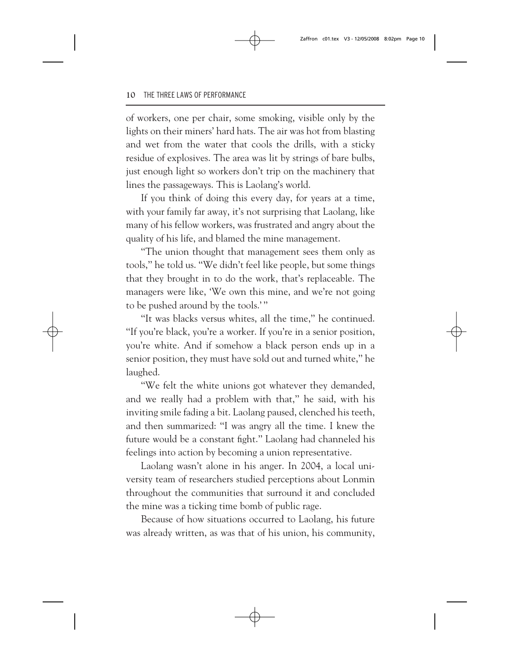of workers, one per chair, some smoking, visible only by the lights on their miners' hard hats. The air was hot from blasting and wet from the water that cools the drills, with a sticky residue of explosives. The area was lit by strings of bare bulbs, just enough light so workers don't trip on the machinery that lines the passageways. This is Laolang's world.

If you think of doing this every day, for years at a time, with your family far away, it's not surprising that Laolang, like many of his fellow workers, was frustrated and angry about the quality of his life, and blamed the mine management.

''The union thought that management sees them only as tools,'' he told us. ''We didn't feel like people, but some things that they brought in to do the work, that's replaceable. The managers were like, 'We own this mine, and we're not going to be pushed around by the tools.' ''

"It was blacks versus whites, all the time," he continued. ''If you're black, you're a worker. If you're in a senior position, you're white. And if somehow a black person ends up in a senior position, they must have sold out and turned white,'' he laughed.

''We felt the white unions got whatever they demanded, and we really had a problem with that,'' he said, with his inviting smile fading a bit. Laolang paused, clenched his teeth, and then summarized: ''I was angry all the time. I knew the future would be a constant fight.'' Laolang had channeled his feelings into action by becoming a union representative.

Laolang wasn't alone in his anger. In 2004, a local university team of researchers studied perceptions about Lonmin throughout the communities that surround it and concluded the mine was a ticking time bomb of public rage.

Because of how situations occurred to Laolang, his future was already written, as was that of his union, his community,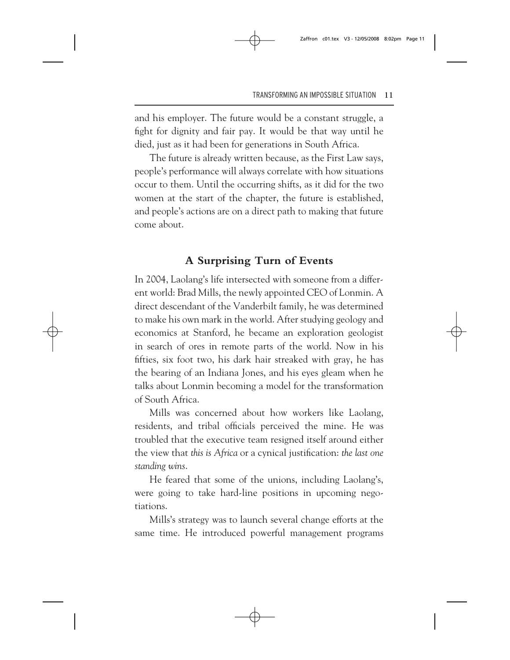and his employer. The future would be a constant struggle, a fight for dignity and fair pay. It would be that way until he died, just as it had been for generations in South Africa.

The future is already written because, as the First Law says, people's performance will always correlate with how situations occur to them. Until the occurring shifts, as it did for the two women at the start of the chapter, the future is established, and people's actions are on a direct path to making that future come about.

# **A Surprising Turn of Events**

In 2004, Laolang's life intersected with someone from a different world: Brad Mills, the newly appointed CEO of Lonmin. A direct descendant of the Vanderbilt family, he was determined to make his own mark in the world. After studying geology and economics at Stanford, he became an exploration geologist in search of ores in remote parts of the world. Now in his fifties, six foot two, his dark hair streaked with gray, he has the bearing of an Indiana Jones, and his eyes gleam when he talks about Lonmin becoming a model for the transformation of South Africa.

Mills was concerned about how workers like Laolang, residents, and tribal officials perceived the mine. He was troubled that the executive team resigned itself around either the view that *this is Africa* or a cynical justification: *the last one standing wins*.

He feared that some of the unions, including Laolang's, were going to take hard-line positions in upcoming negotiations.

Mills's strategy was to launch several change efforts at the same time. He introduced powerful management programs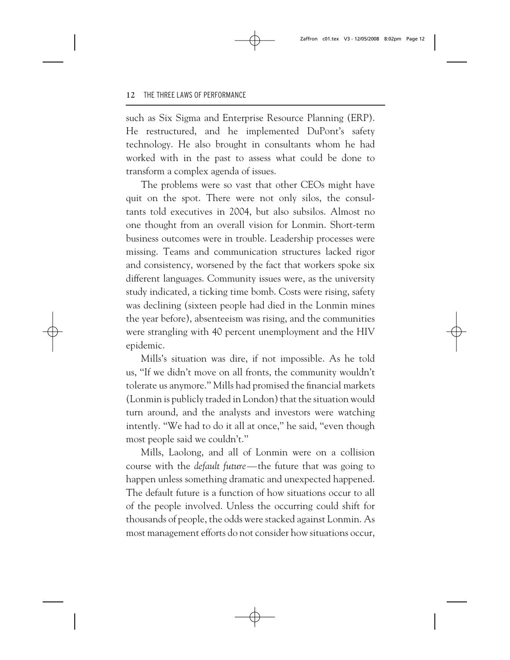such as Six Sigma and Enterprise Resource Planning (ERP). He restructured, and he implemented DuPont's safety technology. He also brought in consultants whom he had worked with in the past to assess what could be done to transform a complex agenda of issues.

The problems were so vast that other CEOs might have quit on the spot. There were not only silos, the consultants told executives in 2004, but also subsilos. Almost no one thought from an overall vision for Lonmin. Short-term business outcomes were in trouble. Leadership processes were missing. Teams and communication structures lacked rigor and consistency, worsened by the fact that workers spoke six different languages. Community issues were, as the university study indicated, a ticking time bomb. Costs were rising, safety was declining (sixteen people had died in the Lonmin mines the year before), absenteeism was rising, and the communities were strangling with 40 percent unemployment and the HIV epidemic.

Mills's situation was dire, if not impossible. As he told us, ''If we didn't move on all fronts, the community wouldn't tolerate us anymore.'' Mills had promised the financial markets (Lonmin is publicly traded in London) that the situation would turn around, and the analysts and investors were watching intently. ''We had to do it all at once,'' he said, ''even though most people said we couldn't.''

Mills, Laolong, and all of Lonmin were on a collision course with the *default future*—the future that was going to happen unless something dramatic and unexpected happened. The default future is a function of how situations occur to all of the people involved. Unless the occurring could shift for thousands of people, the odds were stacked against Lonmin. As most management efforts do not consider how situations occur,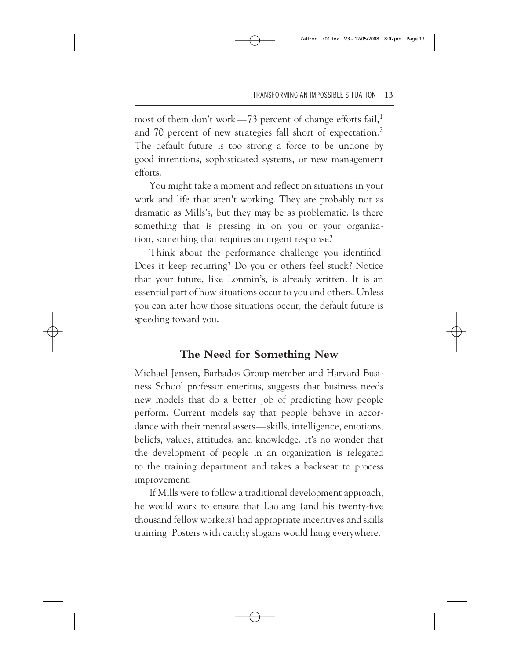most of them don't work—73 percent of change efforts fail,<sup>1</sup> and 70 percent of new strategies fall short of expectation.<sup>2</sup> The default future is too strong a force to be undone by good intentions, sophisticated systems, or new management efforts.

You might take a moment and reflect on situations in your work and life that aren't working. They are probably not as dramatic as Mills's, but they may be as problematic. Is there something that is pressing in on you or your organization, something that requires an urgent response?

Think about the performance challenge you identified. Does it keep recurring? Do you or others feel stuck? Notice that your future, like Lonmin's, is already written. It is an essential part of how situations occur to you and others. Unless you can alter how those situations occur, the default future is speeding toward you.

# **The Need for Something New**

Michael Jensen, Barbados Group member and Harvard Business School professor emeritus, suggests that business needs new models that do a better job of predicting how people perform. Current models say that people behave in accordance with their mental assets—skills, intelligence, emotions, beliefs, values, attitudes, and knowledge. It's no wonder that the development of people in an organization is relegated to the training department and takes a backseat to process improvement.

If Mills were to follow a traditional development approach, he would work to ensure that Laolang (and his twenty-five thousand fellow workers) had appropriate incentives and skills training. Posters with catchy slogans would hang everywhere.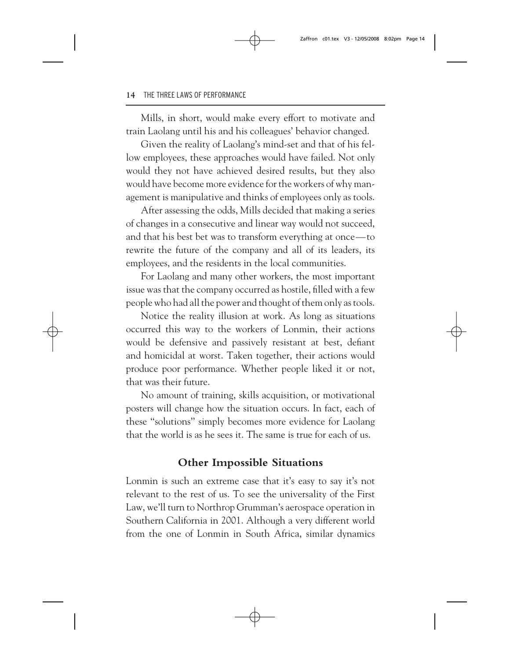Mills, in short, would make every effort to motivate and train Laolang until his and his colleagues' behavior changed.

Given the reality of Laolang's mind-set and that of his fellow employees, these approaches would have failed. Not only would they not have achieved desired results, but they also would have become more evidence for the workers of why management is manipulative and thinks of employees only as tools.

After assessing the odds, Mills decided that making a series of changes in a consecutive and linear way would not succeed, and that his best bet was to transform everything at once—to rewrite the future of the company and all of its leaders, its employees, and the residents in the local communities.

For Laolang and many other workers, the most important issue was that the company occurred as hostile, filled with a few people who had all the power and thought of them only as tools.

Notice the reality illusion at work. As long as situations occurred this way to the workers of Lonmin, their actions would be defensive and passively resistant at best, defiant and homicidal at worst. Taken together, their actions would produce poor performance. Whether people liked it or not, that was their future.

No amount of training, skills acquisition, or motivational posters will change how the situation occurs. In fact, each of these ''solutions'' simply becomes more evidence for Laolang that the world is as he sees it. The same is true for each of us.

# **Other Impossible Situations**

Lonmin is such an extreme case that it's easy to say it's not relevant to the rest of us. To see the universality of the First Law, we'll turn to Northrop Grumman's aerospace operation in Southern California in 2001. Although a very different world from the one of Lonmin in South Africa, similar dynamics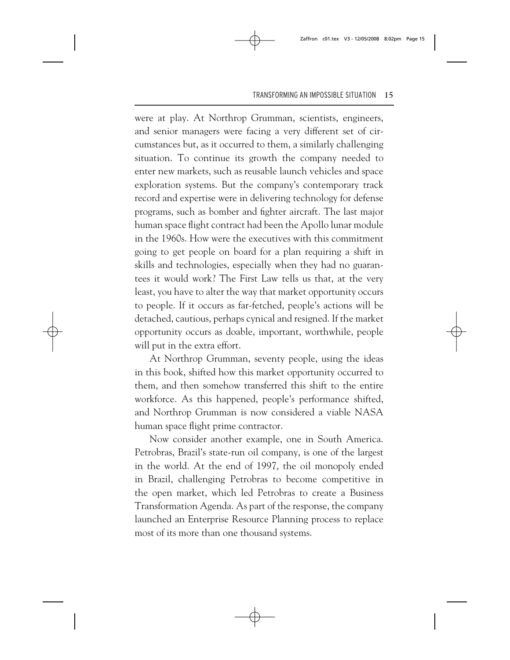were at play. At Northrop Grumman, scientists, engineers, and senior managers were facing a very different set of circumstances but, as it occurred to them, a similarly challenging situation. To continue its growth the company needed to enter new markets, such as reusable launch vehicles and space exploration systems. But the company's contemporary track record and expertise were in delivering technology for defense programs, such as bomber and fighter aircraft. The last major human space flight contract had been the Apollo lunar module in the 1960s. How were the executives with this commitment going to get people on board for a plan requiring a shift in skills and technologies, especially when they had no guarantees it would work? The First Law tells us that, at the very least, you have to alter the way that market opportunity occurs to people. If it occurs as far-fetched, people's actions will be detached, cautious, perhaps cynical and resigned. If the market opportunity occurs as doable, important, worthwhile, people will put in the extra effort.

At Northrop Grumman, seventy people, using the ideas in this book, shifted how this market opportunity occurred to them, and then somehow transferred this shift to the entire workforce. As this happened, people's performance shifted, and Northrop Grumman is now considered a viable NASA human space flight prime contractor.

Now consider another example, one in South America. Petrobras, Brazil's state-run oil company, is one of the largest in the world. At the end of 1997, the oil monopoly ended in Brazil, challenging Petrobras to become competitive in the open market, which led Petrobras to create a Business Transformation Agenda. As part of the response, the company launched an Enterprise Resource Planning process to replace most of its more than one thousand systems.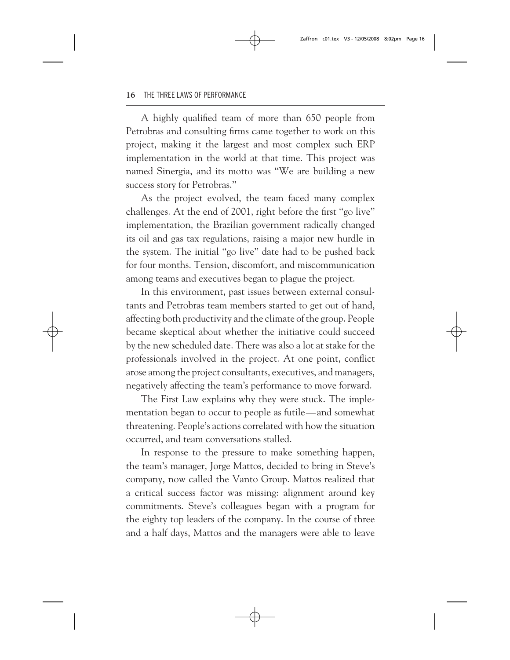A highly qualified team of more than 650 people from Petrobras and consulting firms came together to work on this project, making it the largest and most complex such ERP implementation in the world at that time. This project was named Sinergia, and its motto was ''We are building a new success story for Petrobras.''

As the project evolved, the team faced many complex challenges. At the end of 2001, right before the first ''go live'' implementation, the Brazilian government radically changed its oil and gas tax regulations, raising a major new hurdle in the system. The initial ''go live'' date had to be pushed back for four months. Tension, discomfort, and miscommunication among teams and executives began to plague the project.

In this environment, past issues between external consultants and Petrobras team members started to get out of hand, affecting both productivity and the climate of the group. People became skeptical about whether the initiative could succeed by the new scheduled date. There was also a lot at stake for the professionals involved in the project. At one point, conflict arose among the project consultants, executives, and managers, negatively affecting the team's performance to move forward.

The First Law explains why they were stuck. The implementation began to occur to people as futile—and somewhat threatening. People's actions correlated with how the situation occurred, and team conversations stalled.

In response to the pressure to make something happen, the team's manager, Jorge Mattos, decided to bring in Steve's company, now called the Vanto Group. Mattos realized that a critical success factor was missing: alignment around key commitments. Steve's colleagues began with a program for the eighty top leaders of the company. In the course of three and a half days, Mattos and the managers were able to leave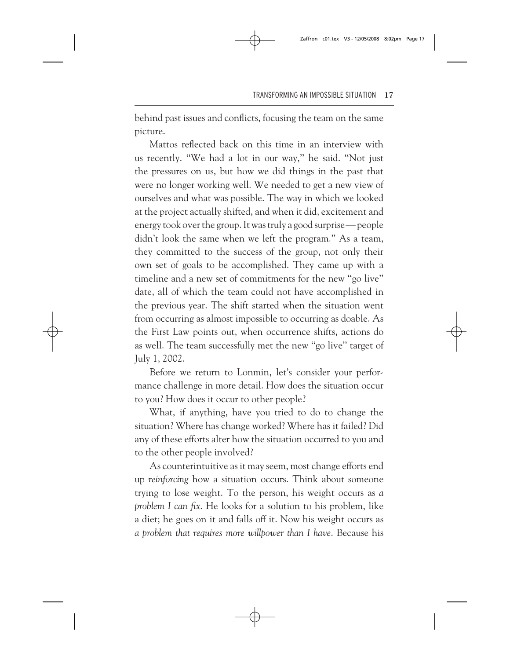behind past issues and conflicts, focusing the team on the same picture.

Mattos reflected back on this time in an interview with us recently. ''We had a lot in our way,'' he said. ''Not just the pressures on us, but how we did things in the past that were no longer working well. We needed to get a new view of ourselves and what was possible. The way in which we looked at the project actually shifted, and when it did, excitement and energy took over the group. It was truly a good surprise— people didn't look the same when we left the program.'' As a team, they committed to the success of the group, not only their own set of goals to be accomplished. They came up with a timeline and a new set of commitments for the new ''go live'' date, all of which the team could not have accomplished in the previous year. The shift started when the situation went from occurring as almost impossible to occurring as doable. As the First Law points out, when occurrence shifts, actions do as well. The team successfully met the new ''go live'' target of July 1, 2002.

Before we return to Lonmin, let's consider your performance challenge in more detail. How does the situation occur to you? How does it occur to other people?

What, if anything, have you tried to do to change the situation? Where has change worked? Where has it failed? Did any of these efforts alter how the situation occurred to you and to the other people involved?

As counterintuitive as it may seem, most change efforts end up *reinforcing* how a situation occurs. Think about someone trying to lose weight. To the person, his weight occurs as *a problem I can fix*. He looks for a solution to his problem, like a diet; he goes on it and falls off it. Now his weight occurs as *a problem that requires more willpower than I have*. Because his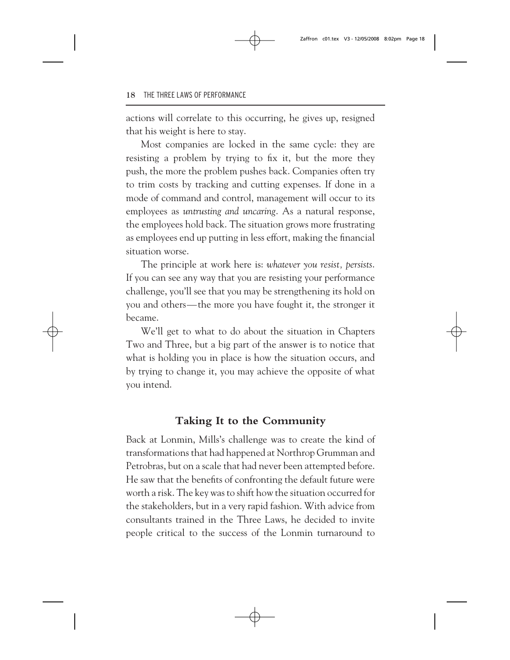actions will correlate to this occurring, he gives up, resigned that his weight is here to stay.

Most companies are locked in the same cycle: they are resisting a problem by trying to fix it, but the more they push, the more the problem pushes back. Companies often try to trim costs by tracking and cutting expenses. If done in a mode of command and control, management will occur to its employees as *untrusting and uncaring*. As a natural response, the employees hold back. The situation grows more frustrating as employees end up putting in less effort, making the financial situation worse.

The principle at work here is: *whatever you resist, persists*. If you can see any way that you are resisting your performance challenge, you'll see that you may be strengthening its hold on you and others—the more you have fought it, the stronger it became.

We'll get to what to do about the situation in Chapters Two and Three, but a big part of the answer is to notice that what is holding you in place is how the situation occurs, and by trying to change it, you may achieve the opposite of what you intend.

# **Taking It to the Community**

Back at Lonmin, Mills's challenge was to create the kind of transformations that had happened at Northrop Grumman and Petrobras, but on a scale that had never been attempted before. He saw that the benefits of confronting the default future were worth a risk. The key was to shift how the situation occurred for the stakeholders, but in a very rapid fashion. With advice from consultants trained in the Three Laws, he decided to invite people critical to the success of the Lonmin turnaround to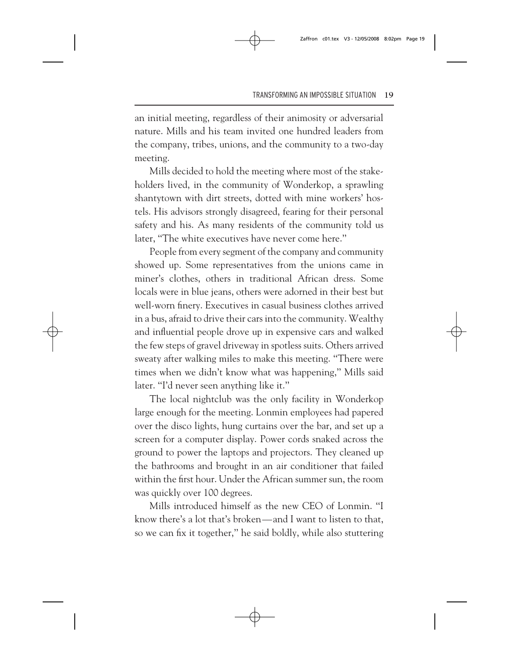an initial meeting, regardless of their animosity or adversarial nature. Mills and his team invited one hundred leaders from the company, tribes, unions, and the community to a two-day meeting.

Mills decided to hold the meeting where most of the stakeholders lived, in the community of Wonderkop, a sprawling shantytown with dirt streets, dotted with mine workers' hostels. His advisors strongly disagreed, fearing for their personal safety and his. As many residents of the community told us later, ''The white executives have never come here.''

People from every segment of the company and community showed up. Some representatives from the unions came in miner's clothes, others in traditional African dress. Some locals were in blue jeans, others were adorned in their best but well-worn finery. Executives in casual business clothes arrived in a bus, afraid to drive their cars into the community. Wealthy and influential people drove up in expensive cars and walked the few steps of gravel driveway in spotless suits. Others arrived sweaty after walking miles to make this meeting. ''There were times when we didn't know what was happening,'' Mills said later. ''I'd never seen anything like it.''

The local nightclub was the only facility in Wonderkop large enough for the meeting. Lonmin employees had papered over the disco lights, hung curtains over the bar, and set up a screen for a computer display. Power cords snaked across the ground to power the laptops and projectors. They cleaned up the bathrooms and brought in an air conditioner that failed within the first hour. Under the African summer sun, the room was quickly over 100 degrees.

Mills introduced himself as the new CEO of Lonmin. ''I know there's a lot that's broken—and I want to listen to that, so we can fix it together,'' he said boldly, while also stuttering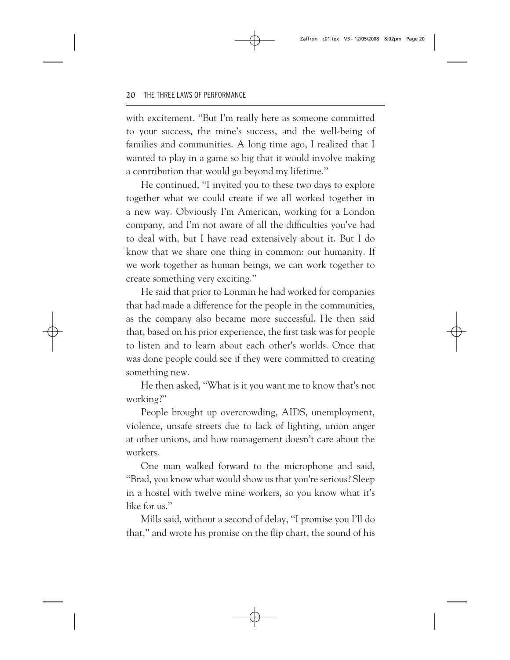with excitement. ''But I'm really here as someone committed to your success, the mine's success, and the well-being of families and communities. A long time ago, I realized that I wanted to play in a game so big that it would involve making a contribution that would go beyond my lifetime.''

He continued, ''I invited you to these two days to explore together what we could create if we all worked together in a new way. Obviously I'm American, working for a London company, and I'm not aware of all the difficulties you've had to deal with, but I have read extensively about it. But I do know that we share one thing in common: our humanity. If we work together as human beings, we can work together to create something very exciting.''

He said that prior to Lonmin he had worked for companies that had made a difference for the people in the communities, as the company also became more successful. He then said that, based on his prior experience, the first task was for people to listen and to learn about each other's worlds. Once that was done people could see if they were committed to creating something new.

He then asked, ''What is it you want me to know that's not working?''

People brought up overcrowding, AIDS, unemployment, violence, unsafe streets due to lack of lighting, union anger at other unions, and how management doesn't care about the workers.

One man walked forward to the microphone and said, ''Brad, you know what would show us that you're serious? Sleep in a hostel with twelve mine workers, so you know what it's like for us.''

Mills said, without a second of delay, ''I promise you I'll do that,'' and wrote his promise on the flip chart, the sound of his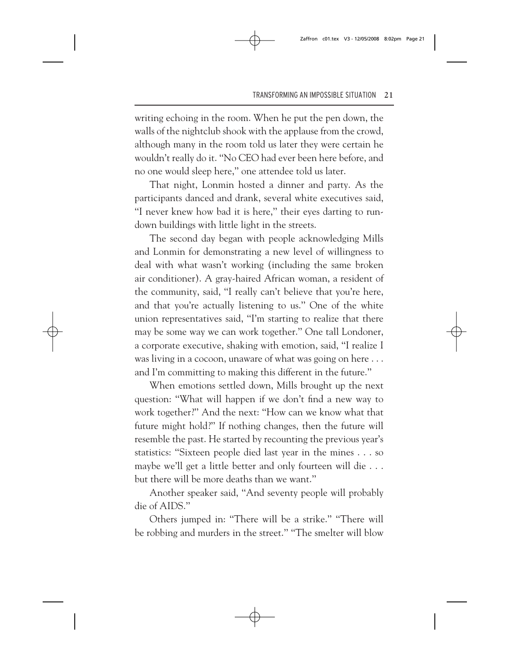writing echoing in the room. When he put the pen down, the walls of the nightclub shook with the applause from the crowd, although many in the room told us later they were certain he wouldn't really do it. ''No CEO had ever been here before, and no one would sleep here,'' one attendee told us later.

That night, Lonmin hosted a dinner and party. As the participants danced and drank, several white executives said, ''I never knew how bad it is here,'' their eyes darting to rundown buildings with little light in the streets.

The second day began with people acknowledging Mills and Lonmin for demonstrating a new level of willingness to deal with what wasn't working (including the same broken air conditioner). A gray-haired African woman, a resident of the community, said, ''I really can't believe that you're here, and that you're actually listening to us.'' One of the white union representatives said, ''I'm starting to realize that there may be some way we can work together.'' One tall Londoner, a corporate executive, shaking with emotion, said, ''I realize I was living in a cocoon, unaware of what was going on here . . . and I'm committing to making this different in the future.''

When emotions settled down, Mills brought up the next question: ''What will happen if we don't find a new way to work together?'' And the next: ''How can we know what that future might hold?'' If nothing changes, then the future will resemble the past. He started by recounting the previous year's statistics: ''Sixteen people died last year in the mines . . . so maybe we'll get a little better and only fourteen will die . . . but there will be more deaths than we want.''

Another speaker said, ''And seventy people will probably die of AIDS.''

Others jumped in: ''There will be a strike.'' ''There will be robbing and murders in the street.'' ''The smelter will blow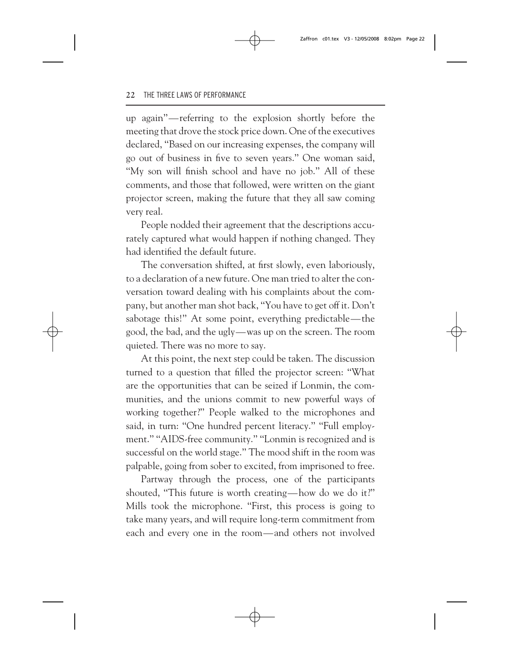up again''—referring to the explosion shortly before the meeting that drove the stock price down. One of the executives declared, ''Based on our increasing expenses, the company will go out of business in five to seven years.'' One woman said, "My son will finish school and have no job." All of these comments, and those that followed, were written on the giant projector screen, making the future that they all saw coming very real.

People nodded their agreement that the descriptions accurately captured what would happen if nothing changed. They had identified the default future.

The conversation shifted, at first slowly, even laboriously, to a declaration of a new future. One man tried to alter the conversation toward dealing with his complaints about the company, but another man shot back, ''You have to get off it. Don't sabotage this!'' At some point, everything predictable—the good, the bad, and the ugly—was up on the screen. The room quieted. There was no more to say.

At this point, the next step could be taken. The discussion turned to a question that filled the projector screen: ''What are the opportunities that can be seized if Lonmin, the communities, and the unions commit to new powerful ways of working together?'' People walked to the microphones and said, in turn: "One hundred percent literacy." "Full employment." "AIDS-free community." "Lonmin is recognized and is successful on the world stage.'' The mood shift in the room was palpable, going from sober to excited, from imprisoned to free.

Partway through the process, one of the participants shouted, ''This future is worth creating—how do we do it?'' Mills took the microphone. "First, this process is going to take many years, and will require long-term commitment from each and every one in the room—and others not involved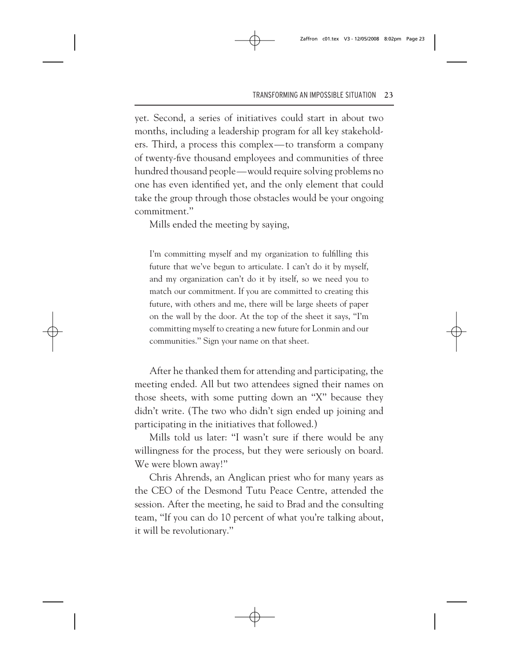yet. Second, a series of initiatives could start in about two months, including a leadership program for all key stakeholders. Third, a process this complex—to transform a company of twenty-five thousand employees and communities of three hundred thousand people—would require solving problems no one has even identified yet, and the only element that could take the group through those obstacles would be your ongoing commitment.''

Mills ended the meeting by saying,

I'm committing myself and my organization to fulfilling this future that we've begun to articulate. I can't do it by myself, and my organization can't do it by itself, so we need you to match our commitment. If you are committed to creating this future, with others and me, there will be large sheets of paper on the wall by the door. At the top of the sheet it says, ''I'm committing myself to creating a new future for Lonmin and our communities.'' Sign your name on that sheet.

After he thanked them for attending and participating, the meeting ended. All but two attendees signed their names on those sheets, with some putting down an ''X'' because they didn't write. (The two who didn't sign ended up joining and participating in the initiatives that followed.)

Mills told us later: ''I wasn't sure if there would be any willingness for the process, but they were seriously on board. We were blown away!''

Chris Ahrends, an Anglican priest who for many years as the CEO of the Desmond Tutu Peace Centre, attended the session. After the meeting, he said to Brad and the consulting team, ''If you can do 10 percent of what you're talking about, it will be revolutionary.''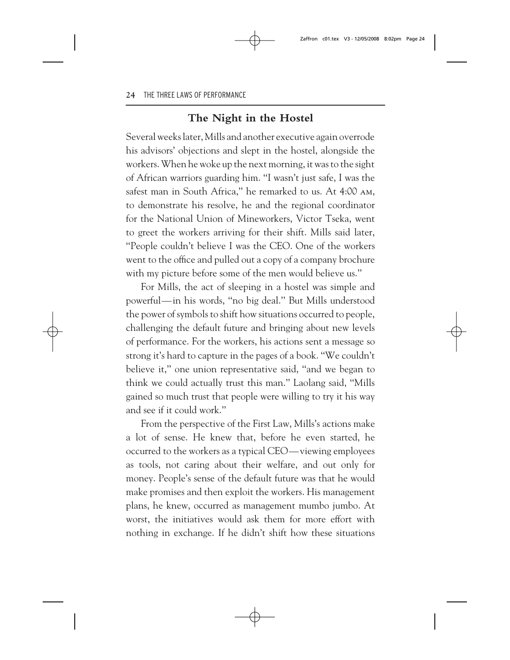# **The Night in the Hostel**

Several weeks later, Mills and another executive again overrode his advisors' objections and slept in the hostel, alongside the workers. When he woke up the next morning, it was to the sight of African warriors guarding him. ''I wasn't just safe, I was the safest man in South Africa,'' he remarked to us. At 4:00 am, to demonstrate his resolve, he and the regional coordinator for the National Union of Mineworkers, Victor Tseka, went to greet the workers arriving for their shift. Mills said later, ''People couldn't believe I was the CEO. One of the workers went to the office and pulled out a copy of a company brochure with my picture before some of the men would believe us."

For Mills, the act of sleeping in a hostel was simple and powerful—in his words, ''no big deal.'' But Mills understood the power of symbols to shift how situations occurred to people, challenging the default future and bringing about new levels of performance. For the workers, his actions sent a message so strong it's hard to capture in the pages of a book. ''We couldn't believe it,'' one union representative said, ''and we began to think we could actually trust this man.'' Laolang said, ''Mills gained so much trust that people were willing to try it his way and see if it could work.''

From the perspective of the First Law, Mills's actions make a lot of sense. He knew that, before he even started, he occurred to the workers as a typical CEO—viewing employees as tools, not caring about their welfare, and out only for money. People's sense of the default future was that he would make promises and then exploit the workers. His management plans, he knew, occurred as management mumbo jumbo. At worst, the initiatives would ask them for more effort with nothing in exchange. If he didn't shift how these situations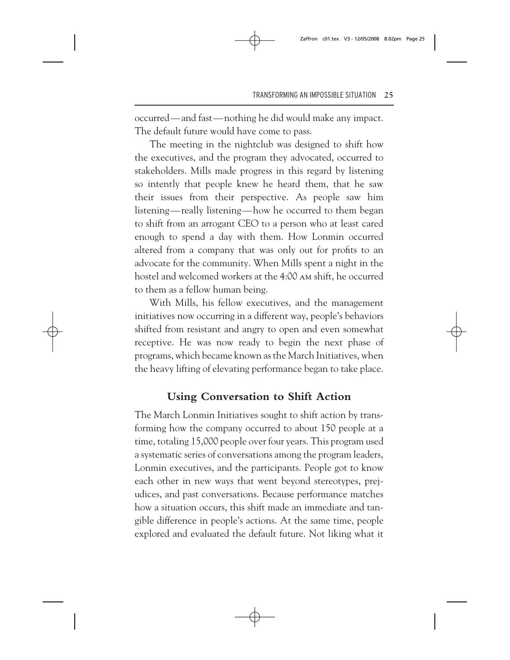occurred—and fast—nothing he did would make any impact. The default future would have come to pass.

The meeting in the nightclub was designed to shift how the executives, and the program they advocated, occurred to stakeholders. Mills made progress in this regard by listening so intently that people knew he heard them, that he saw their issues from their perspective. As people saw him listening—really listening—how he occurred to them began to shift from an arrogant CEO to a person who at least cared enough to spend a day with them. How Lonmin occurred altered from a company that was only out for profits to an advocate for the community. When Mills spent a night in the hostel and welcomed workers at the 4:00 am shift, he occurred to them as a fellow human being.

With Mills, his fellow executives, and the management initiatives now occurring in a different way, people's behaviors shifted from resistant and angry to open and even somewhat receptive. He was now ready to begin the next phase of programs, which became known as the March Initiatives, when the heavy lifting of elevating performance began to take place.

# **Using Conversation to Shift Action**

The March Lonmin Initiatives sought to shift action by transforming how the company occurred to about 150 people at a time, totaling 15,000 people over four years. This program used a systematic series of conversations among the program leaders, Lonmin executives, and the participants. People got to know each other in new ways that went beyond stereotypes, prejudices, and past conversations. Because performance matches how a situation occurs, this shift made an immediate and tangible difference in people's actions. At the same time, people explored and evaluated the default future. Not liking what it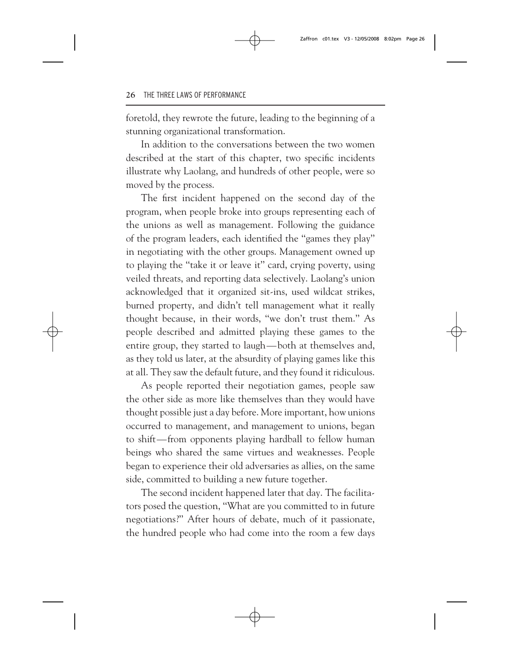foretold, they rewrote the future, leading to the beginning of a stunning organizational transformation.

In addition to the conversations between the two women described at the start of this chapter, two specific incidents illustrate why Laolang, and hundreds of other people, were so moved by the process.

The first incident happened on the second day of the program, when people broke into groups representing each of the unions as well as management. Following the guidance of the program leaders, each identified the ''games they play'' in negotiating with the other groups. Management owned up to playing the ''take it or leave it'' card, crying poverty, using veiled threats, and reporting data selectively. Laolang's union acknowledged that it organized sit-ins, used wildcat strikes, burned property, and didn't tell management what it really thought because, in their words, ''we don't trust them.'' As people described and admitted playing these games to the entire group, they started to laugh—both at themselves and, as they told us later, at the absurdity of playing games like this at all. They saw the default future, and they found it ridiculous.

As people reported their negotiation games, people saw the other side as more like themselves than they would have thought possible just a day before. More important, how unions occurred to management, and management to unions, began to shift—from opponents playing hardball to fellow human beings who shared the same virtues and weaknesses. People began to experience their old adversaries as allies, on the same side, committed to building a new future together.

The second incident happened later that day. The facilitators posed the question, ''What are you committed to in future negotiations?'' After hours of debate, much of it passionate, the hundred people who had come into the room a few days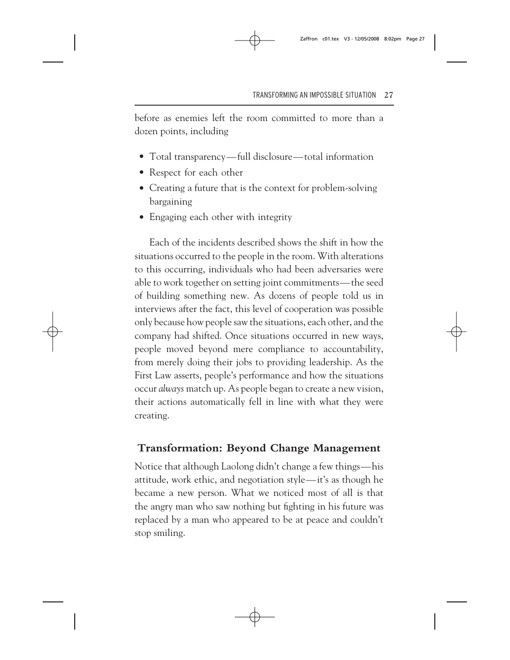before as enemies left the room committed to more than a dozen points, including

- Total transparency—full disclosure—total information
- Respect for each other
- Creating a future that is the context for problem-solving bargaining
- Engaging each other with integrity

Each of the incidents described shows the shift in how the situations occurred to the people in the room. With alterations to this occurring, individuals who had been adversaries were able to work together on setting joint commitments—the seed of building something new. As dozens of people told us in interviews after the fact, this level of cooperation was possible only because how people saw the situations, each other, and the company had shifted. Once situations occurred in new ways, people moved beyond mere compliance to accountability, from merely doing their jobs to providing leadership. As the First Law asserts, people's performance and how the situations occur *always* match up. As people began to create a new vision, their actions automatically fell in line with what they were creating.

# **Transformation: Beyond Change Management**

Notice that although Laolong didn't change a few things—his attitude, work ethic, and negotiation style—it's as though he became a new person. What we noticed most of all is that the angry man who saw nothing but fighting in his future was replaced by a man who appeared to be at peace and couldn't stop smiling.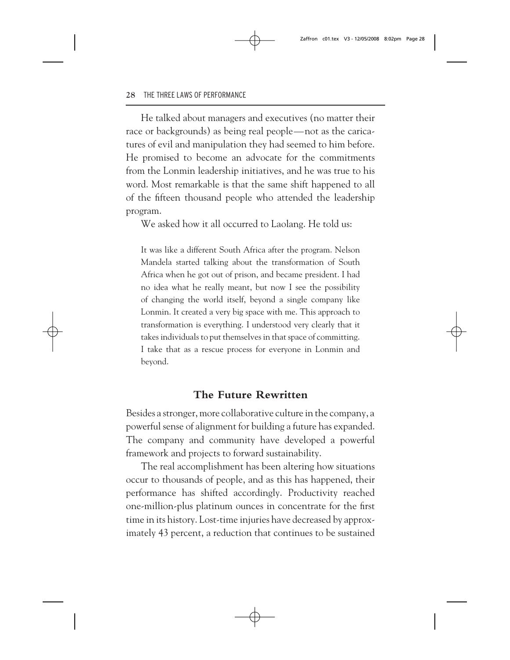He talked about managers and executives (no matter their race or backgrounds) as being real people—not as the caricatures of evil and manipulation they had seemed to him before. He promised to become an advocate for the commitments from the Lonmin leadership initiatives, and he was true to his word. Most remarkable is that the same shift happened to all of the fifteen thousand people who attended the leadership program.

We asked how it all occurred to Laolang. He told us:

It was like a different South Africa after the program. Nelson Mandela started talking about the transformation of South Africa when he got out of prison, and became president. I had no idea what he really meant, but now I see the possibility of changing the world itself, beyond a single company like Lonmin. It created a very big space with me. This approach to transformation is everything. I understood very clearly that it takes individuals to put themselves in that space of committing. I take that as a rescue process for everyone in Lonmin and beyond.

# **The Future Rewritten**

Besides a stronger, more collaborative culture in the company, a powerful sense of alignment for building a future has expanded. The company and community have developed a powerful framework and projects to forward sustainability.

The real accomplishment has been altering how situations occur to thousands of people, and as this has happened, their performance has shifted accordingly. Productivity reached one-million-plus platinum ounces in concentrate for the first time in its history. Lost-time injuries have decreased by approximately 43 percent, a reduction that continues to be sustained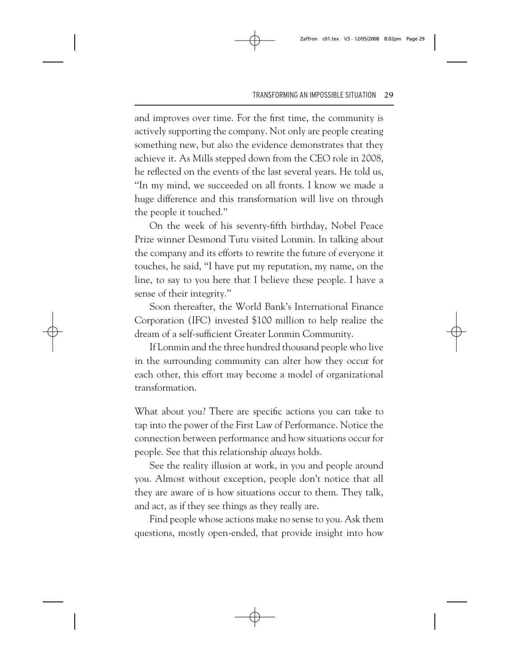and improves over time. For the first time, the community is actively supporting the company. Not only are people creating something new, but also the evidence demonstrates that they achieve it. As Mills stepped down from the CEO role in 2008, he reflected on the events of the last several years. He told us, ''In my mind, we succeeded on all fronts. I know we made a huge difference and this transformation will live on through the people it touched.''

On the week of his seventy-fifth birthday, Nobel Peace Prize winner Desmond Tutu visited Lonmin. In talking about the company and its efforts to rewrite the future of everyone it touches, he said, ''I have put my reputation, my name, on the line, to say to you here that I believe these people. I have a sense of their integrity.''

Soon thereafter, the World Bank's International Finance Corporation (IFC) invested \$100 million to help realize the dream of a self-sufficient Greater Lonmin Community.

If Lonmin and the three hundred thousand people who live in the surrounding community can alter how they occur for each other, this effort may become a model of organizational transformation.

What about you? There are specific actions you can take to tap into the power of the First Law of Performance. Notice the connection between performance and how situations occur for people. See that this relationship *always* holds.

See the reality illusion at work, in you and people around you. Almost without exception, people don't notice that all they are aware of is how situations occur to them. They talk, and act, as if they see things as they really are.

Find people whose actions make no sense to you. Ask them questions, mostly open-ended, that provide insight into how